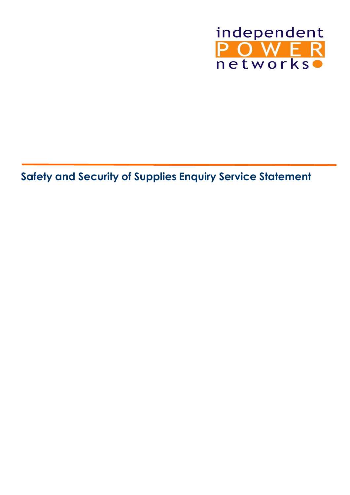

**Safety and Security of Supplies Enquiry Service Statement**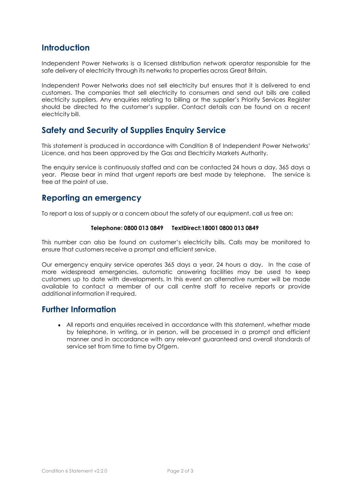## **Introduction**

Independent Power Networks is a licensed distribution network operator responsible for the safe delivery of electricity through its networks to properties across Great Britain.

Independent Power Networks does not sell electricity but ensures that it is delivered to end customers. The companies that sell electricity to consumers and send out bills are called electricity suppliers. Any enquiries relating to billing or the supplier's Priority Services Register should be directed to the customer's supplier. Contact details can be found on a recent electricity bill.

## **Safety and Security of Supplies Enquiry Service**

This statement is produced in accordance with Condition 8 of Independent Power Networks' Licence, and has been approved by the Gas and Electricity Markets Authority.

The enquiry service is continuously staffed and can be contacted 24 hours a day, 365 days a year. Please bear in mind that urgent reports are best made by telephone. The service is free at the point of use.

### **Reporting an emergency**

To report a loss of supply or a concern about the safety of our equipment, call us free on:

### **Telephone: 0800 013 0849 TextDirect:18001 0800 013 0849**

This number can also be found on customer's electricity bills. Calls may be monitored to ensure that customers receive a prompt and efficient service.

Our emergency enquiry service operates 365 days a year, 24 hours a day. In the case of more widespread emergencies, automatic answering facilities may be used to keep customers up to date with developments. In this event an alternative number will be made available to contact a member of our call centre staff to receive reports or provide additional information if required.

### **Further Information**

All reports and enquiries received in accordance with this statement, whether made by telephone, in writing, or in person, will be processed in a prompt and efficient manner and in accordance with any relevant guaranteed and overall standards of service set from time to time by Ofgem.